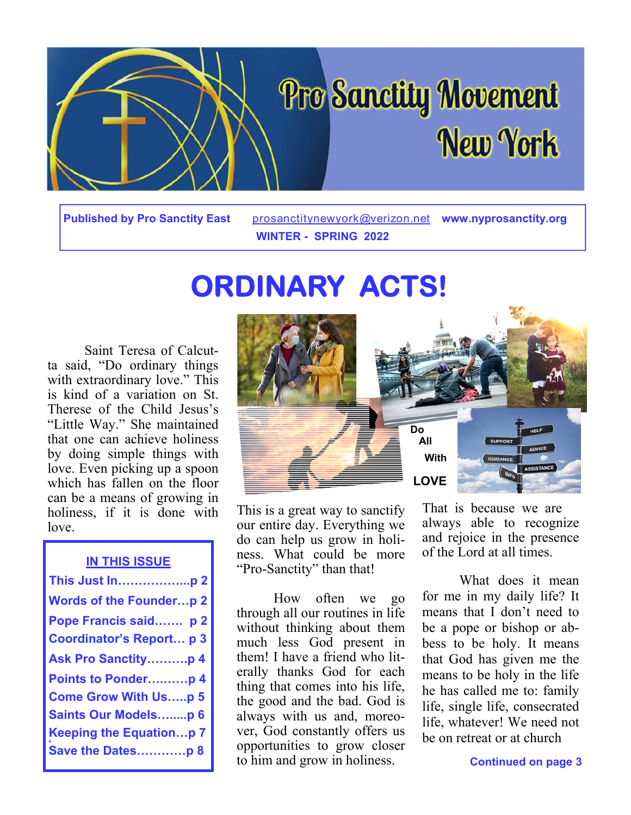

**Published by Pro Sanctity East** prosanctitynewyork@verizon.net **www.nyprosanctity.org WINTER - SPRING 2022** 

# **ORDINARY ACTS!**

 Saint Teresa of Calcutta said, "Do ordinary things with extraordinary love." This is kind of a variation on St. Therese of the Child Jesus's "Little Way." She maintained that one can achieve holiness by doing simple things with love. Even picking up a spoon which has fallen on the floor can be a means of growing in holiness, if it is done with love.

## **IN THIS ISSUE**

| This Just Inp 2                 |
|---------------------------------|
| <b>Words of the Founderp 2</b>  |
| Pope Francis said p 2           |
| <b>Coordinator's Report p 3</b> |
| <b>Ask Pro Sanctityp 4</b>      |
| Points to Ponderp 4             |
| <b>Come Grow With Usp 5</b>     |
| <b>Saints Our Modelsp 6</b>     |
| <b>Keeping the Equationp 7</b>  |
| Save the Datesp 8               |



This is a great way to sanctify our entire day. Everything we do can help us grow in holiness. What could be more "Pro-Sanctity" than that!

 How often we go through all our routines in life without thinking about them much less God present in them! I have a friend who literally thanks God for each thing that comes into his life, the good and the bad. God is always with us and, moreover, God constantly offers us opportunities to grow closer to him and grow in holiness.

That is because we are always able to recognize and rejoice in the presence of the Lord at all times.

 What does it mean for me in my daily life? It means that I don't need to be a pope or bishop or abbess to be holy. It means that God has given me the means to be holy in the life he has called me to: family life, single life, consecrated life, whatever! We need not be on retreat or at church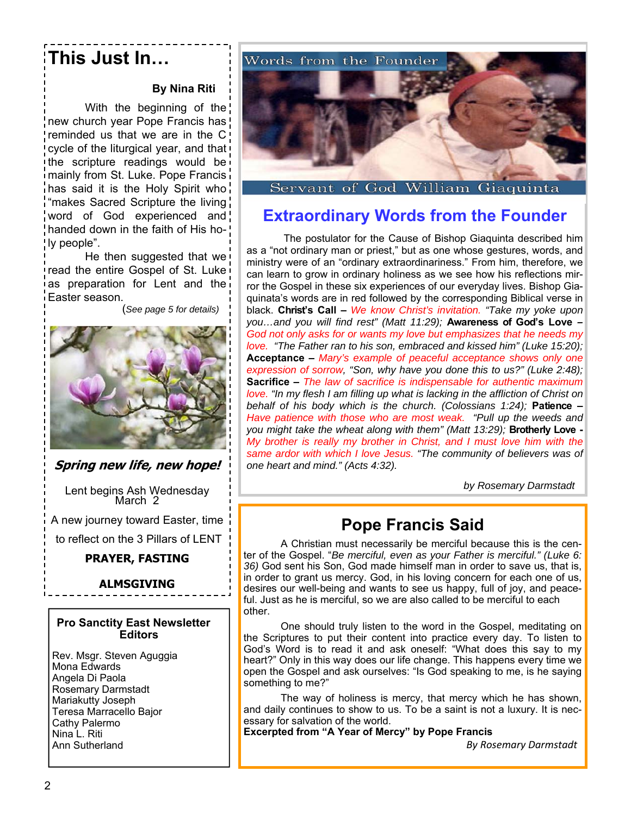# **This Just In…**

## **By Nina Riti**

 With the beginning of the new church year Pope Francis has reminded us that we are in the C cycle of the liturgical year, and that the scripture readings would be mainly from St. Luke. Pope Francis has said it is the Holy Spirit who "makes Sacred Scripture the living word of God experienced and! handed down in the faith of His holy people".

 He then suggested that we read the entire Gospel of St. Luke as preparation for Lent and the Easter season.

(*See page 5 for details)*



**Spring new life, new hope!**

Lent begins Ash Wednesday March 2

A new journey toward Easter, time to reflect on the 3 Pillars of LENT

### **PRAYER, FASTING**

### **ALMSGIVING**

### **Pro Sanctity East Newsletter Editors**

Rev. Msgr. Steven Aguggia Mona Edwards Angela Di Paola Rosemary Darmstadt Mariakutty Joseph Teresa Marracello Bajor Cathy Palermo Nina L. Riti Ann Sutherland



Servant of God William Giaquinta

# **Extraordinary Words from the Founder**

 The postulator for the Cause of Bishop Giaquinta described him as a "not ordinary man or priest," but as one whose gestures, words, and ministry were of an "ordinary extraordinariness." From him, therefore, we can learn to grow in ordinary holiness as we see how his reflections mirror the Gospel in these six experiences of our everyday lives. Bishop Giaquinata's words are in red followed by the corresponding Biblical verse in black. **Christ's Call –** *We know Christ's invitation. "Take my yoke upon you…and you will find rest" (Matt 11:29);* **Awareness of God's Love** *– God not only asks for or wants my love but emphasizes that he needs my love. "The Father ran to his son, embraced and kissed him" (Luke 15:20);*  **Acceptance –** *Mary's example of peaceful acceptance shows only one expression of sorrow, "Son, why have you done this to us?" (Luke 2:48);*  **Sacrifice –** *The law of sacrifice is indispensable for authentic maximum love. "In my flesh I am filling up what is lacking in the affliction of Christ on behalf of his body which is the church. (Colossians 1:24);* **Patience –**  *Have patience with those who are most weak. "Pull up the weeds and you might take the wheat along with them" (Matt 13:29);* **Brotherly Love -**  *My brother is really my brother in Christ, and I must love him with the same ardor with which I love Jesus. "The community of believers was of one heart and mind." (Acts 4:32).* 

 *by Rosemary Darmstadt* 

# **Pope Francis Said**

A Christian must necessarily be merciful because this is the center of the Gospel. "*Be merciful, even as your Father is merciful." (Luke 6: 36)* God sent his Son, God made himself man in order to save us, that is, in order to grant us mercy. God, in his loving concern for each one of us, desires our well-being and wants to see us happy, full of joy, and peaceful. Just as he is merciful, so we are also called to be merciful to each other.

One should truly listen to the word in the Gospel, meditating on the Scriptures to put their content into practice every day. To listen to God's Word is to read it and ask oneself: "What does this say to my heart?" Only in this way does our life change. This happens every time we open the Gospel and ask ourselves: "Is God speaking to me, is he saying something to me?"

The way of holiness is mercy, that mercy which he has shown, and daily continues to show to us. To be a saint is not a luxury. It is necessary for salvation of the world.

**Excerpted from "A Year of Mercy" by Pope Francis**

*By Rosemary Darmstadt*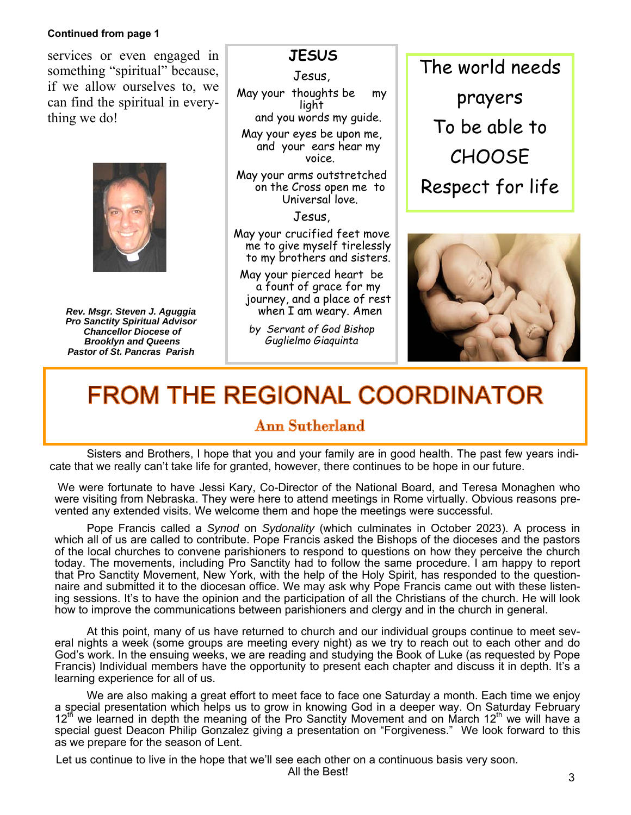### **Continued from page 1**

services or even engaged in something "spiritual" because, if we allow ourselves to, we can find the spiritual in everything we do!



*Rev. Msgr. Steven J. Aguggia Pro Sanctity Spiritual Advisor Chancellor Diocese of Brooklyn and Queens Pastor of St. Pancras Parish* 

# **JESUS**

Jesus,

May your thoughts be my light and you words my guide.

May your eyes be upon me, and your ears hear my voice.

May your arms outstretched on the Cross open me to Universal love.

Jesus,

- May your crucified feet move me to give myself tirelessly to my brothers and sisters.
- May your pierced heart be a fount of grace for my journey, and a place of rest when I am weary. Amen
	- *by Servant of God Bishop Guglielmo Giaquinta*

The world needs prayers To be able to **CHOOSE** Respect for life



# **FROM THE REGIONAL COORDINATOR**

# **Ann Sutherland**

Sisters and Brothers, I hope that you and your family are in good health. The past few years indicate that we really can't take life for granted, however, there continues to be hope in our future.

 We were fortunate to have Jessi Kary, Co-Director of the National Board, and Teresa Monaghen who were visiting from Nebraska. They were here to attend meetings in Rome virtually. Obvious reasons prevented any extended visits. We welcome them and hope the meetings were successful.

 Pope Francis called a *Synod* on *Sydonality* (which culminates in October 2023). A process in which all of us are called to contribute. Pope Francis asked the Bishops of the dioceses and the pastors of the local churches to convene parishioners to respond to questions on how they perceive the church today. The movements, including Pro Sanctity had to follow the same procedure. I am happy to report that Pro Sanctity Movement, New York, with the help of the Holy Spirit, has responded to the questionnaire and submitted it to the diocesan office. We may ask why Pope Francis came out with these listening sessions. It's to have the opinion and the participation of all the Christians of the church. He will look how to improve the communications between parishioners and clergy and in the church in general.

 At this point, many of us have returned to church and our individual groups continue to meet several nights a week (some groups are meeting every night) as we try to reach out to each other and do God's work. In the ensuing weeks, we are reading and studying the Book of Luke (as requested by Pope Francis) Individual members have the opportunity to present each chapter and discuss it in depth. It's a learning experience for all of us.

 We are also making a great effort to meet face to face one Saturday a month. Each time we enjoy a special presentation which helps us to grow in knowing God in a deeper way. On Saturday February  $12<sup>th</sup>$  we learned in depth the meaning of the Pro Sanctity Movement and on March 12<sup>th</sup> we will have a special guest Deacon Philip Gonzalez giving a presentation on "Forgiveness." We look forward to this as we prepare for the season of Lent.

Let us continue to live in the hope that we'll see each other on a continuous basis very soon.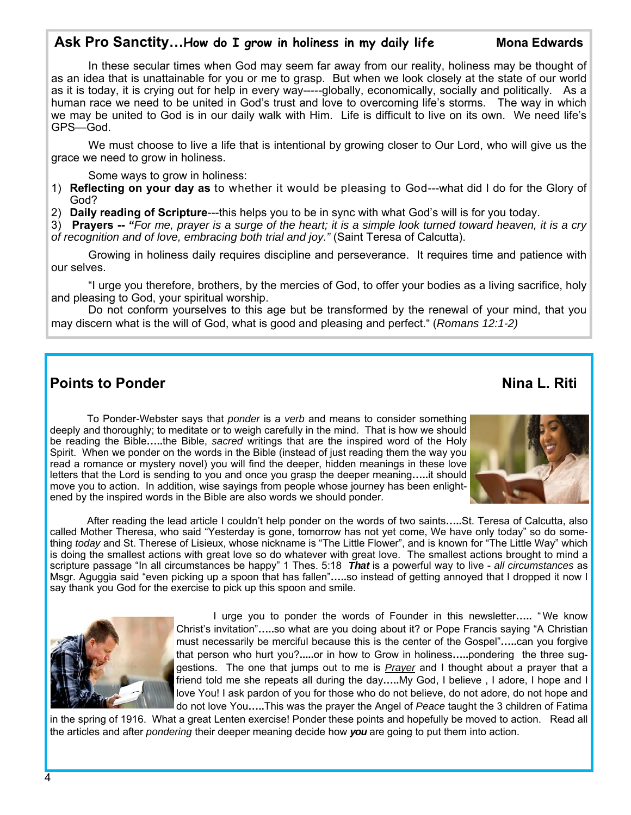# Ask Pro Sanctity...How do I grow in holiness in my daily life Mona Edwards

 In these secular times when God may seem far away from our reality, holiness may be thought of as an idea that is unattainable for you or me to grasp. But when we look closely at the state of our world as it is today, it is crying out for help in every way-----globally, economically, socially and politically. As a human race we need to be united in God's trust and love to overcoming life's storms. The way in which we may be united to God is in our daily walk with Him. Life is difficult to live on its own. We need life's GPS—God.

 We must choose to live a life that is intentional by growing closer to Our Lord, who will give us the grace we need to grow in holiness.

Some ways to grow in holiness:

- 1) **Reflecting on your day as** to whether it would be pleasing to God---what did I do for the Glory of God?
- 2) **Daily reading of Scripture**---this helps you to be in sync with what God's will is for you today.

3) **Prayers --** *"For me, prayer is a surge of the heart; it is a simple look turned toward heaven, it is a cry of recognition and of love, embracing both trial and joy."* (Saint Teresa of Calcutta).

 Growing in holiness daily requires discipline and perseverance. It requires time and patience with our selves.

 "I urge you therefore, brothers, by the mercies of God, to offer your bodies as a living sacrifice, holy and pleasing to God, your spiritual worship.

 Do not conform yourselves to this age but be transformed by the renewal of your mind, that you may discern what is the will of God, what is good and pleasing and perfect." (*Romans 12:1-2)* 

# **Points to Ponder Nina L. Riti Points to Ponder**

 To Ponder-Webster says that *ponder* is a *verb* and means to consider something deeply and thoroughly; to meditate or to weigh carefully in the mind. That is how we should be reading the Bible**…..**the Bible, *sacred* writings that are the inspired word of the Holy Spirit. When we ponder on the words in the Bible (instead of just reading them the way you read a romance or mystery novel) you will find the deeper, hidden meanings in these love letters that the Lord is sending to you and once you grasp the deeper meaning**…..**it should

move you to action. In addition, wise sayings from people whose journey has been enlight-

ened by the inspired words in the Bible are also words we should ponder.



 After reading the lead article I couldn't help ponder on the words of two saints**…..**St. Teresa of Calcutta, also called Mother Theresa, who said "Yesterday is gone, tomorrow has not yet come, We have only today" so do something *today* and St. Therese of Lisieux, whose nickname is "The Little Flower", and is known for "The Little Way" which is doing the smallest actions with great love so do whatever with great love. The smallest actions brought to mind a scripture passage "In all circumstances be happy" 1 Thes. 5:18 *That* is a powerful way to live - *all circumstances* as Msgr. Aguggia said "even picking up a spoon that has fallen"**…..**so instead of getting annoyed that I dropped it now I say thank you God for the exercise to pick up this spoon and smile.



 I urge you to ponder the words of Founder in this newsletter**…..** " We know Christ's invitation"**…..**so what are you doing about it? or Pope Francis saying "A Christian must necessarily be merciful because this is the center of the Gospel"**…..**can you forgive that person who hurt you?**.....**or in how to Grow in holiness**…..**pondering the three suggestions. The one that jumps out to me is *Prayer* and I thought about a prayer that a friend told me she repeats all during the day**…..**My God, I believe , I adore, I hope and I love You! I ask pardon of you for those who do not believe, do not adore, do not hope and do not love You**…..**This was the prayer the Angel of *Peace* taught the 3 children of Fatima

in the spring of 1916. What a great Lenten exercise! Ponder these points and hopefully be moved to action. Read all the articles and after *pondering* their deeper meaning decide how *you* are going to put them into action.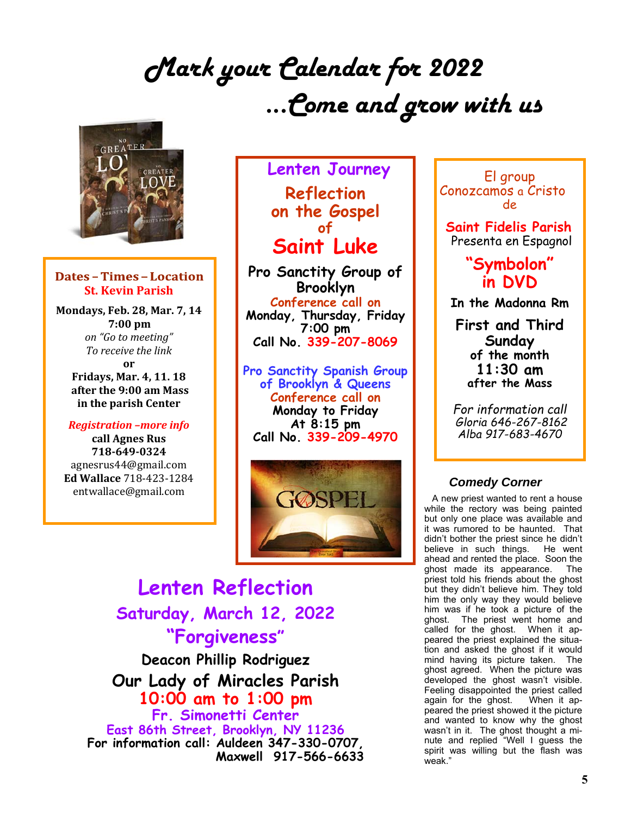# *Mark your Calendar for 2022 ...Come and grow with us*



### **Dates-Times-Location St. Kevin Parish**

**Mondays, Feb. 28, Mar. 7, 14 7:00** pm *on "Go to meeting" To receive the link* **or Fridays, Mar. 4, 11. 18 after the 9:00 am Mass in the parish Center**

## *Registration –more info*

**call Agnes Rus 718‐649‐0324** agnesrus44@gmail.com **Ed Wallace** 718-423-1284 entwallace@gmail.com

# **Lenten Journey Reflection on the Gospel of Saint Luke**

**Pro Sanctity Group of Brooklyn Conference call on Monday, Thursday, Friday 7:00 pm Call No. 339-207-8069**

**Pro Sanctity Spanish Group of Brooklyn & Queens Conference call on Monday to Friday At 8:15 pm Call No. 339-209-4970**



# **Lenten Reflection Saturday, March 12, 2022 "Forgiveness" Deacon Phillip Rodriguez**

**Our Lady of Miracles Parish 10:00 am to 1:00 pm Fr. Simonetti Center East 86th Street, Brooklyn, NY 11236 For information call: Auldeen 347-330-0707, Maxwell 917-566-6633** 

El group Conozcamos a Cristo de

 **Saint Fidelis Parish** Presenta en Espagnol

# **"Symbolon" in DVD**

**In the Madonna Rm** 

**First and Third Sunday of the month 11:30 am after the Mass** 

*For information call Gloria 646-267-8162 Alba 917-683-4670* 

## *Comedy Corner*

 A new priest wanted to rent a house while the rectory was being painted but only one place was available and it was rumored to be haunted. That didn't bother the priest since he didn't<br>believe in such things. He went believe in such things. ahead and rented the place. Soon the ghost made its appearance. The priest told his friends about the ghost but they didn't believe him. They told him the only way they would believe him was if he took a picture of the ghost. The priest went home and called for the ghost. When it appeared the priest explained the situation and asked the ghost if it would mind having its picture taken. The ghost agreed. When the picture was developed the ghost wasn't visible. Feeling disappointed the priest called again for the ghost. When it appeared the priest showed it the picture and wanted to know why the ghost wasn't in it. The ghost thought a minute and replied "Well I guess the spirit was willing but the flash was weak."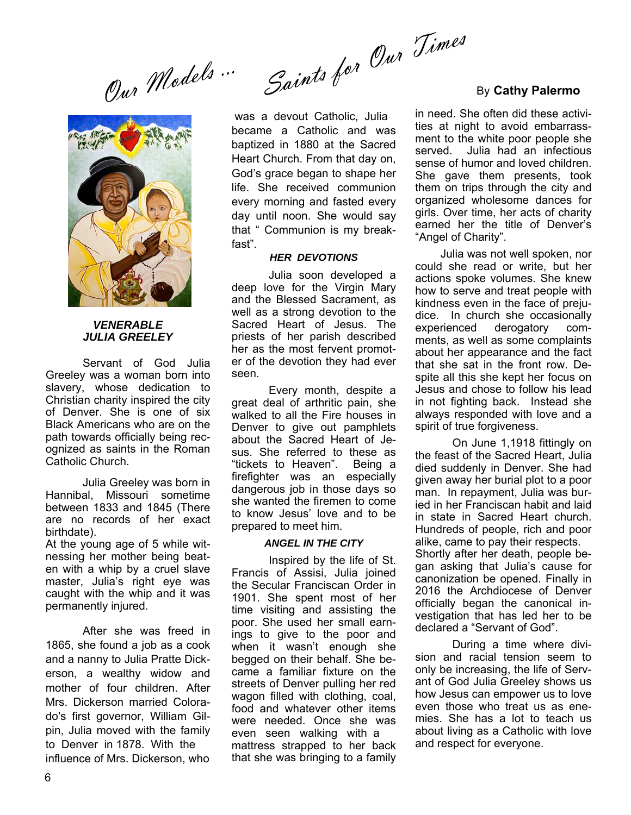Saints for <sup>U/W</sup><sup>J/W<sup>es</sup><br>By Cathy Palermo</sup> Our Models ...



### *VENERABLE JULIA GREELEY*

Servant of God Julia Greeley was a woman born into slavery, whose dedication to Christian charity inspired the city of Denver. She is one of six Black Americans who are on the path towards officially being recognized as saints in the Roman Catholic Church.

 Julia Greeley was born in Hannibal, Missouri sometime between 1833 and 1845 (There are no records of her exact birthdate).

At the young age of 5 while witnessing her mother being beaten with a whip by a cruel slave master, Julia's right eye was caught with the whip and it was permanently injured.

 After she was freed in 1865, she found a job as a cook and a nanny to Julia Pratte Dickerson, a wealthy widow and mother of four children. After Mrs. Dickerson married Colorado's first governor, William Gilpin, Julia moved with the family to Denver in 1878. With the influence of Mrs. Dickerson, who

 was a devout Catholic, Julia became a Catholic and was baptized in 1880 at the Sacred Heart Church. From that day on, God's grace began to shape her life. She received communion every morning and fasted every day until noon. She would say that " Communion is my breakfast".

### *HER DEVOTIONS*

 Julia soon developed a deep love for the Virgin Mary and the Blessed Sacrament, as well as a strong devotion to the Sacred Heart of Jesus. The priests of her parish described her as the most fervent promoter of the devotion they had ever seen.

 Every month, despite a great deal of arthritic pain, she walked to all the Fire houses in Denver to give out pamphlets about the Sacred Heart of Jesus. She referred to these as "tickets to Heaven". Being a firefighter was an especially dangerous job in those days so she wanted the firemen to come to know Jesus' love and to be prepared to meet him.

### *ANGEL IN THE CITY*

 Inspired by the life of St. Francis of Assisi, Julia joined the Secular Franciscan Order in 1901. She spent most of her time visiting and assisting the poor. She used her small earnings to give to the poor and when it wasn't enough she begged on their behalf. She became a familiar fixture on the streets of Denver pulling her red wagon filled with clothing, coal, food and whatever other items were needed. Once she was even seen walking with a mattress strapped to her back that she was bringing to a family

in need. She often did these activities at night to avoid embarrassment to the white poor people she served. Julia had an infectious sense of humor and loved children. She gave them presents, took them on trips through the city and organized wholesome dances for girls. Over time, her acts of charity earned her the title of Denver's "Angel of Charity".

 Julia was not well spoken, nor could she read or write, but her actions spoke volumes. She knew how to serve and treat people with kindness even in the face of prejudice. In church she occasionally experienced derogatory comments, as well as some complaints about her appearance and the fact that she sat in the front row. Despite all this she kept her focus on Jesus and chose to follow his lead in not fighting back. Instead she always responded with love and a spirit of true forgiveness.

 On June 1,1918 fittingly on the feast of the Sacred Heart, Julia died suddenly in Denver. She had given away her burial plot to a poor man. In repayment, Julia was buried in her Franciscan habit and laid in state in Sacred Heart church. Hundreds of people, rich and poor alike, came to pay their respects. Shortly after her death, people began asking that Julia's cause for canonization be opened. Finally in 2016 the Archdiocese of Denver officially began the canonical investigation that has led her to be declared a "Servant of God".

 During a time where division and racial tension seem to only be increasing, the life of Servant of God Julia Greeley shows us how Jesus can empower us to love even those who treat us as enemies. She has a lot to teach us about living as a Catholic with love and respect for everyone.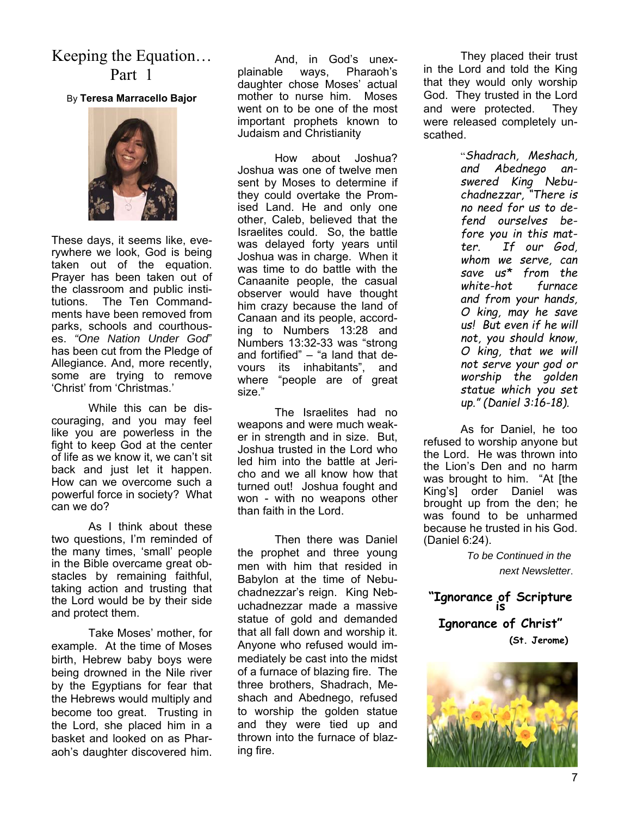Keeping the Equation… Part 1

By **Teresa Marracello Bajor** 



These days, it seems like, everywhere we look, God is being taken out of the equation. Prayer has been taken out of the classroom and public institutions. The Ten Commandments have been removed from parks, schools and courthouses. *"One Nation Under God*" has been cut from the Pledge of Allegiance. And, more recently, some are trying to remove 'Christ' from 'Christmas.'

While this can be discouraging, and you may feel like you are powerless in the fight to keep God at the center of life as we know it, we can't sit back and just let it happen. How can we overcome such a powerful force in society? What can we do?

As I think about these two questions, I'm reminded of the many times, 'small' people in the Bible overcame great obstacles by remaining faithful, taking action and trusting that the Lord would be by their side and protect them.

Take Moses' mother, for example. At the time of Moses birth, Hebrew baby boys were being drowned in the Nile river by the Egyptians for fear that the Hebrews would multiply and become too great. Trusting in the Lord, she placed him in a basket and looked on as Pharaoh's daughter discovered him.

 And, in God's unexplainable ways, Pharaoh's daughter chose Moses' actual mother to nurse him. Moses went on to be one of the most important prophets known to Judaism and Christianity

 How about Joshua? Joshua was one of twelve men sent by Moses to determine if they could overtake the Promised Land. He and only one other, Caleb, believed that the Israelites could. So, the battle was delayed forty years until Joshua was in charge. When it was time to do battle with the Canaanite people, the casual observer would have thought him crazy because the land of Canaan and its people, according to Numbers 13:28 and Numbers 13:32-33 was "strong and fortified" – "a land that devours its inhabitants", and where "people are of great size."

 The Israelites had no weapons and were much weaker in strength and in size. But, Joshua trusted in the Lord who led him into the battle at Jericho and we all know how that turned out! Joshua fought and won - with no weapons other than faith in the Lord.

Then there was Daniel the prophet and three young men with him that resided in Babylon at the time of Nebuchadnezzar's reign. King Nebuchadnezzar made a massive statue of gold and demanded that all fall down and worship it. Anyone who refused would immediately be cast into the midst of a furnace of blazing fire. The three brothers, Shadrach, Meshach and Abednego, refused to worship the golden statue and they were tied up and thrown into the furnace of blazing fire.

 They placed their trust in the Lord and told the King that they would only worship God. They trusted in the Lord and were protected. They were released completely unscathed.

> "*Shadrach, Meshach, and Abednego answered King Nebuchadnezzar, "There is no need for us to defend ourselves before you in this matter. If our God, whom we serve, can save us\* from the white-hot furnace and from your hands, O king, may he save us! But even if he will not, you should know, O king, that we will not serve your god or worship the golden statue which you set up." (Daniel 3:16-18).*

As for Daniel, he too refused to worship anyone but the Lord. He was thrown into the Lion's Den and no harm was brought to him. "At [the King's] order Daniel was brought up from the den; he was found to be unharmed because he trusted in his God. (Daniel 6:24).

> *To be Continued in the next Newsletter*.

**"Ignorance of Scripture is Ignorance of Christ"**

 **(St. Jerome)**